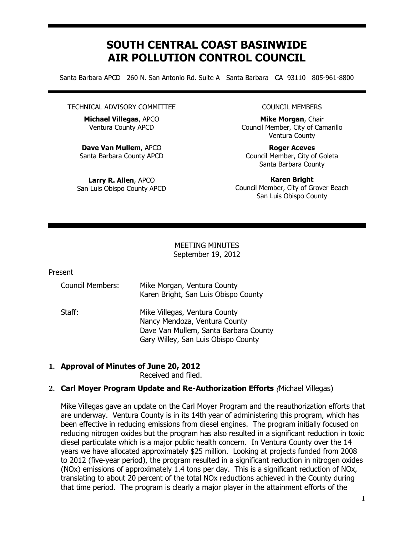# **SOUTH CENTRAL COAST BASINWIDE AIR POLLUTION CONTROL COUNCIL**

Santa Barbara APCD 260 N. San Antonio Rd. Suite A Santa Barbara CA 93110 805-961-8800

#### TECHNICAL ADVISORY COMMITTEE

**Michael Villegas**, APCO Ventura County APCD

**Dave Van Mullem**, APCO Santa Barbara County APCD

**Larry R. Allen**, APCO San Luis Obispo County APCD

#### COUNCIL MEMBERS

**Mike Morgan**, Chair Council Member, City of Camarillo Ventura County

**Roger Aceves** Council Member, City of Goleta Santa Barbara County

**Karen Bright** Council Member, City of Grover Beach San Luis Obispo County

#### MEETING MINUTES September 19, 2012

#### Present

| <b>Council Members:</b> | Mike Morgan, Ventura County<br>Karen Bright, San Luis Obispo County          |
|-------------------------|------------------------------------------------------------------------------|
| Staff:                  | Mike Villegas, Ventura County<br>Nancy Mendoza, Ventura County               |
|                         | Dave Van Mullem, Santa Barbara County<br>Gary Willey, San Luis Obispo County |

## **1. Approval of Minutes of June 20, 2012**

Received and filed.

## **2. Carl Moyer Program Update and Re-Authorization Efforts** (Michael Villegas)

Mike Villegas gave an update on the Carl Moyer Program and the reauthorization efforts that are underway. Ventura County is in its 14th year of administering this program, which has been effective in reducing emissions from diesel engines. The program initially focused on reducing nitrogen oxides but the program has also resulted in a significant reduction in toxic diesel particulate which is a major public health concern. In Ventura County over the 14 years we have allocated approximately \$25 million. Looking at projects funded from 2008 to 2012 (five-year period), the program resulted in a significant reduction in nitrogen oxides (NOx) emissions of approximately 1.4 tons per day. This is a significant reduction of NOx, translating to about 20 percent of the total NOx reductions achieved in the County during that time period. The program is clearly a major player in the attainment efforts of the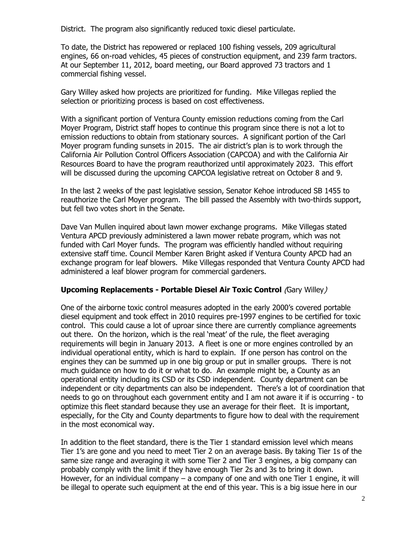District. The program also significantly reduced toxic diesel particulate.

To date, the District has repowered or replaced 100 fishing vessels, 209 agricultural engines, 66 on-road vehicles, 45 pieces of construction equipment, and 239 farm tractors. At our September 11, 2012, board meeting, our Board approved 73 tractors and 1 commercial fishing vessel.

Gary Willey asked how projects are prioritized for funding. Mike Villegas replied the selection or prioritizing process is based on cost effectiveness.

With a significant portion of Ventura County emission reductions coming from the Carl Moyer Program, District staff hopes to continue this program since there is not a lot to emission reductions to obtain from stationary sources. A significant portion of the Carl Moyer program funding sunsets in 2015. The air district's plan is to work through the California Air Pollution Control Officers Association (CAPCOA) and with the California Air Resources Board to have the program reauthorized until approximately 2023. This effort will be discussed during the upcoming CAPCOA legislative retreat on October 8 and 9.

In the last 2 weeks of the past legislative session, Senator Kehoe introduced SB 1455 to reauthorize the Carl Moyer program. The bill passed the Assembly with two-thirds support, but fell two votes short in the Senate.

Dave Van Mullen inquired about lawn mower exchange programs. Mike Villegas stated Ventura APCD previously administered a lawn mower rebate program, which was not funded with Carl Moyer funds. The program was efficiently handled without requiring extensive staff time. Council Member Karen Bright asked if Ventura County APCD had an exchange program for leaf blowers. Mike Villegas responded that Ventura County APCD had administered a leaf blower program for commercial gardeners.

## **Upcoming Replacements - Portable Diesel Air Toxic Control** (Gary Willey)

One of the airborne toxic control measures adopted in the early 2000's covered portable diesel equipment and took effect in 2010 requires pre-1997 engines to be certified for toxic control. This could cause a lot of uproar since there are currently compliance agreements out there. On the horizon, which is the real 'meat' of the rule, the fleet averaging requirements will begin in January 2013. A fleet is one or more engines controlled by an individual operational entity, which is hard to explain. If one person has control on the engines they can be summed up in one big group or put in smaller groups. There is not much guidance on how to do it or what to do. An example might be, a County as an operational entity including its CSD or its CSD independent. County department can be independent or city departments can also be independent. There's a lot of coordination that needs to go on throughout each government entity and I am not aware it if is occurring - to optimize this fleet standard because they use an average for their fleet. It is important, especially, for the City and County departments to figure how to deal with the requirement in the most economical way.

In addition to the fleet standard, there is the Tier 1 standard emission level which means Tier 1's are gone and you need to meet Tier 2 on an average basis. By taking Tier 1s of the same size range and averaging it with some Tier 2 and Tier 3 engines, a big company can probably comply with the limit if they have enough Tier 2s and 3s to bring it down. However, for an individual company  $-$  a company of one and with one Tier 1 engine, it will be illegal to operate such equipment at the end of this year. This is a big issue here in our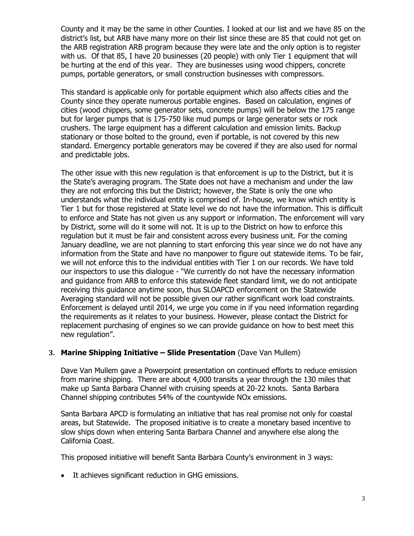County and it may be the same in other Counties. I looked at our list and we have 85 on the district's list, but ARB have many more on their list since these are 85 that could not get on the ARB registration ARB program because they were late and the only option is to register with us. Of that 85, I have 20 businesses (20 people) with only Tier 1 equipment that will be hurting at the end of this year. They are businesses using wood chippers, concrete pumps, portable generators, or small construction businesses with compressors.

This standard is applicable only for portable equipment which also affects cities and the County since they operate numerous portable engines. Based on calculation, engines of cities (wood chippers, some generator sets, concrete pumps) will be below the 175 range but for larger pumps that is 175-750 like mud pumps or large generator sets or rock crushers. The large equipment has a different calculation and emission limits. Backup stationary or those bolted to the ground, even if portable, is not covered by this new standard. Emergency portable generators may be covered if they are also used for normal and predictable jobs.

The other issue with this new regulation is that enforcement is up to the District, but it is the State's averaging program. The State does not have a mechanism and under the law they are not enforcing this but the District; however, the State is only the one who understands what the individual entity is comprised of. In-house, we know which entity is Tier 1 but for those registered at State level we do not have the information. This is difficult to enforce and State has not given us any support or information. The enforcement will vary by District, some will do it some will not. It is up to the District on how to enforce this regulation but it must be fair and consistent across every business unit. For the coming January deadline, we are not planning to start enforcing this year since we do not have any information from the State and have no manpower to figure out statewide items. To be fair, we will not enforce this to the individual entities with Tier 1 on our records. We have told our inspectors to use this dialogue - "We currently do not have the necessary information and guidance from ARB to enforce this statewide fleet standard limit, we do not anticipate receiving this guidance anytime soon, thus SLOAPCD enforcement on the Statewide Averaging standard will not be possible given our rather significant work load constraints. Enforcement is delayed until 2014, we urge you come in if you need information regarding the requirements as it relates to your business. However, please contact the District for replacement purchasing of engines so we can provide guidance on how to best meet this new regulation".

## **3. Marine Shipping Initiative – Slide Presentation** (Dave Van Mullem)

Dave Van Mullem gave a Powerpoint presentation on continued efforts to reduce emission from marine shipping. There are about 4,000 transits a year through the 130 miles that make up Santa Barbara Channel with cruising speeds at 20-22 knots. Santa Barbara Channel shipping contributes 54% of the countywide NOx emissions.

Santa Barbara APCD is formulating an initiative that has real promise not only for coastal areas, but Statewide. The proposed initiative is to create a monetary based incentive to slow ships down when entering Santa Barbara Channel and anywhere else along the California Coast.

This proposed initiative will benefit Santa Barbara County's environment in 3 ways:

It achieves significant reduction in GHG emissions.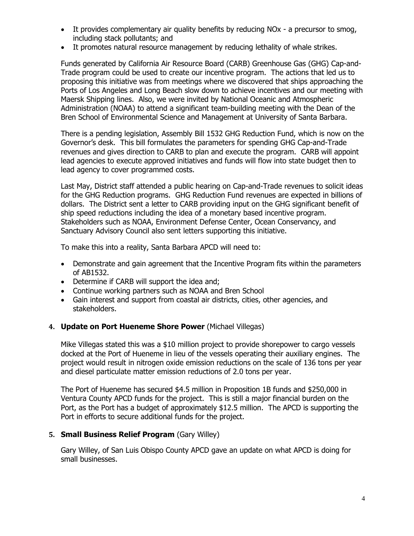- It provides complementary air quality benefits by reducing NOx a precursor to smog, including stack pollutants; and
- It promotes natural resource management by reducing lethality of whale strikes.

Funds generated by California Air Resource Board (CARB) Greenhouse Gas (GHG) Cap-and-Trade program could be used to create our incentive program. The actions that led us to proposing this initiative was from meetings where we discovered that ships approaching the Ports of Los Angeles and Long Beach slow down to achieve incentives and our meeting with Maersk Shipping lines. Also, we were invited by National Oceanic and Atmospheric Administration (NOAA) to attend a significant team-building meeting with the Dean of the Bren School of Environmental Science and Management at University of Santa Barbara.

There is a pending legislation, Assembly Bill 1532 GHG Reduction Fund, which is now on the Governor's desk. This bill formulates the parameters for spending GHG Cap-and-Trade revenues and gives direction to CARB to plan and execute the program. CARB will appoint lead agencies to execute approved initiatives and funds will flow into state budget then to lead agency to cover programmed costs.

Last May, District staff attended a public hearing on Cap-and-Trade revenues to solicit ideas for the GHG Reduction programs. GHG Reduction Fund revenues are expected in billions of dollars. The District sent a letter to CARB providing input on the GHG significant benefit of ship speed reductions including the idea of a monetary based incentive program. Stakeholders such as NOAA, Environment Defense Center, Ocean Conservancy, and Sanctuary Advisory Council also sent letters supporting this initiative.

To make this into a reality, Santa Barbara APCD will need to:

- Demonstrate and gain agreement that the Incentive Program fits within the parameters of AB1532.
- Determine if CARB will support the idea and;
- Continue working partners such as NOAA and Bren School
- Gain interest and support from coastal air districts, cities, other agencies, and stakeholders.

## **4. Update on Port Hueneme Shore Power** (Michael Villegas)

Mike Villegas stated this was a \$10 million project to provide shorepower to cargo vessels docked at the Port of Hueneme in lieu of the vessels operating their auxiliary engines. The project would result in nitrogen oxide emission reductions on the scale of 136 tons per year and diesel particulate matter emission reductions of 2.0 tons per year.

The Port of Hueneme has secured \$4.5 million in Proposition 1B funds and \$250,000 in Ventura County APCD funds for the project. This is still a major financial burden on the Port, as the Port has a budget of approximately \$12.5 million. The APCD is supporting the Port in efforts to secure additional funds for the project.

## **5. Small Business Relief Program** (Gary Willey)

Gary Willey, of San Luis Obispo County APCD gave an update on what APCD is doing for small businesses.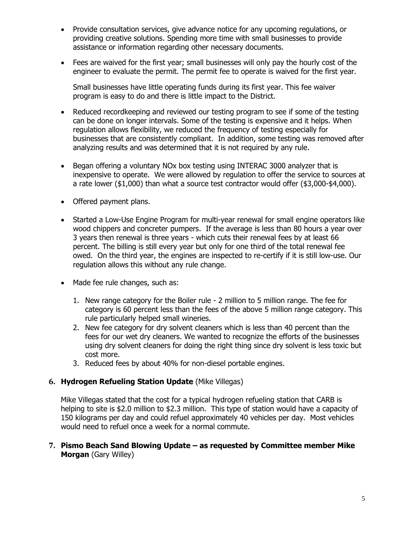- Provide consultation services, give advance notice for any upcoming regulations, or providing creative solutions. Spending more time with small businesses to provide assistance or information regarding other necessary documents.
- Fees are waived for the first year; small businesses will only pay the hourly cost of the engineer to evaluate the permit. The permit fee to operate is waived for the first year.

Small businesses have little operating funds during its first year. This fee waiver program is easy to do and there is little impact to the District.

- Reduced recordkeeping and reviewed our testing program to see if some of the testing can be done on longer intervals. Some of the testing is expensive and it helps. When regulation allows flexibility, we reduced the frequency of testing especially for businesses that are consistently compliant. In addition, some testing was removed after analyzing results and was determined that it is not required by any rule.
- Began offering a voluntary NOx box testing using INTERAC 3000 analyzer that is inexpensive to operate. We were allowed by regulation to offer the service to sources at a rate lower (\$1,000) than what a source test contractor would offer (\$3,000-\$4,000).
- Offered payment plans.
- Started a Low-Use Engine Program for multi-year renewal for small engine operators like wood chippers and concreter pumpers. If the average is less than 80 hours a year over 3 years then renewal is three years - which cuts their renewal fees by at least 66 percent. The billing is still every year but only for one third of the total renewal fee owed. On the third year, the engines are inspected to re-certify if it is still low-use. Our regulation allows this without any rule change.
- Made fee rule changes, such as:
	- 1. New range category for the Boiler rule 2 million to 5 million range. The fee for category is 60 percent less than the fees of the above 5 million range category. This rule particularly helped small wineries.
	- 2. New fee category for dry solvent cleaners which is less than 40 percent than the fees for our wet dry cleaners. We wanted to recognize the efforts of the businesses using dry solvent cleaners for doing the right thing since dry solvent is less toxic but cost more.
	- 3. Reduced fees by about 40% for non-diesel portable engines.

## **6. Hydrogen Refueling Station Update** (Mike Villegas)

Mike Villegas stated that the cost for a typical hydrogen refueling station that CARB is helping to site is \$2.0 million to \$2.3 million. This type of station would have a capacity of 150 kilograms per day and could refuel approximately 40 vehicles per day. Most vehicles would need to refuel once a week for a normal commute.

## **7. Pismo Beach Sand Blowing Update – as requested by Committee member Mike Morgan** (Gary Willey)